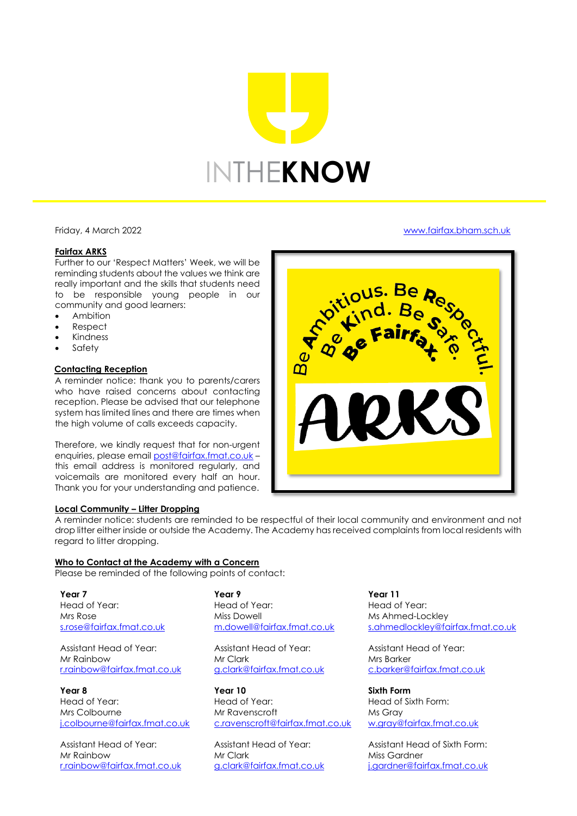# INTHE**KNOW**

Friday, 4 March 2022 [www.fairfax.bham.sch.uk](http://www.fairfax.bham.sch.uk/)

# **Fairfax ARKS**

Further to our 'Respect Matters' Week, we will be reminding students about the values we think are really important and the skills that students need to be responsible young people in our community and good learners:

- Ambition
- Respect
- **Kindness**
- **Safety**

#### **Contacting Reception**

A reminder notice: thank you to parents/carers who have raised concerns about contacting reception. Please be advised that our telephone system has limited lines and there are times when the high volume of calls exceeds capacity.

Therefore, we kindly request that for non-urgent enquiries, please emai[l post@fairfax.fmat.co.uk](mailto:post@fairfax.fmat.co.uk) – this email address is monitored regularly, and voicemails are monitored every half an hour. Thank you for your understanding and patience.

#### **Local Community – Litter Dropping**

A reminder notice: students are reminded to be respectful of their local community and environment and not drop litter either inside or outside the Academy. The Academy has received complaints from local residents with regard to litter dropping.

# **Who to Contact at the Academy with a Concern**

Please be reminded of the following points of contact:

**Year 7**  Head of Year: Mrs Rose [s.rose@fairfax.fmat.co.uk](mailto:s.rose@fairfax.fmat.co.uk)

Assistant Head of Year: Mr Rainbow [r.rainbow@fairfax.fmat.co.uk](mailto:r.rainbow@fairfax.fmat.co.uk)

**Year 8** Head of Year: Mrs Colbourne [j.colbourne@fairfax.fmat.co.uk](mailto:j.colbourne@fairfax.fmat.co.uk)

Assistant Head of Year: Mr Rainbow [r.rainbow@fairfax.fmat.co.uk](mailto:r.rainbow@fairfax.fmat.co.uk) **Year 9**  Head of Year: Miss Dowell [m.dowell@fairfax.fmat.co.uk](mailto:m.dowell@fairfax.fmat.co.uk)

Assistant Head of Year: Mr Clark [g.clark@fairfax.fmat.co.uk](mailto:g.clark@fairfax.fmat.co.uk)

**Year 10** Head of Year: Mr Ravenscroft [c.ravenscroft@fairfax.fmat.co.uk](mailto:c.ravenscroft@fairfax.fmat.co.uk)

Assistant Head of Year: Mr Clark [g.clark@fairfax.fmat.co.uk](mailto:g.clark@fairfax.fmat.co.uk) **Year 11** Head of Year: Ms Ahmed-Lockley [s.ahmedlockley@fairfax.fmat.co.uk](mailto:s.ahmed@fairfax.fmat.co.uk)

Assistant Head of Year: Mrs Barker [c.barker@fairfax.fmat.co.uk](mailto:c.barker@fairfax.fmat.co.uk)

**Sixth Form**  Head of Sixth Form: Ms Gray [w.gray@fairfax.fmat.co.uk](mailto:w.gray@fairfax.fmat.co.uk)

Assistant Head of Sixth Form: Miss Gardner [j.gardner@fairfax.fmat.co.uk](mailto:j.gardner@fairfax.fmat.co.uk)

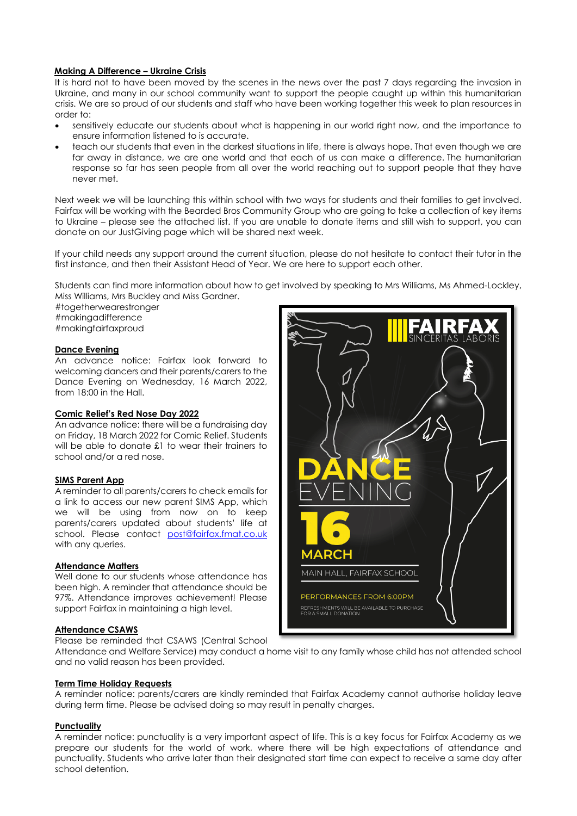# **Making A Difference – Ukraine Crisis**

It is hard not to have been moved by the scenes in the news over the past 7 days regarding the invasion in Ukraine, and many in our school community want to support the people caught up within this humanitarian crisis. We are so proud of our students and staff who have been working together this week to plan resources in order to:

- sensitively educate our students about what is happening in our world right now, and the importance to ensure information listened to is accurate.
- teach our students that even in the darkest situations in life, there is always hope. That even though we are far away in distance, we are one world and that each of us can make a difference. The humanitarian response so far has seen people from all over the world reaching out to support people that they have never met.

Next week we will be launching this within school with two ways for students and their families to get involved. Fairfax will be working with the Bearded Bros Community Group who are going to take a collection of key items to Ukraine – please see the attached list. If you are unable to donate items and still wish to support, you can donate on our JustGiving page which will be shared next week.

If your child needs any support around the current situation, please do not hesitate to contact their tutor in the first instance, and then their Assistant Head of Year. We are here to support each other.

Students can find more information about how to get involved by speaking to Mrs Williams, Ms Ahmed-Lockley, Miss Williams, Mrs Buckley and Miss Gardner.

#togetherwearestronger #makingadifference #makingfairfaxproud

# **Dance Evening**

An advance notice: Fairfax look forward to welcoming dancers and their parents/carers to the Dance Evening on Wednesday, 16 March 2022, from 18:00 in the Hall.

# **Comic Relief's Red Nose Day 2022**

An advance notice: there will be a fundraising day on Friday, 18 March 2022 for Comic Relief. Students will be able to donate £1 to wear their trainers to school and/or a red nose.

# **SIMS Parent App**

A reminder to all parents/carers to check emails for a link to access our new parent SIMS App, which we will be using from now on to keep parents/carers updated about students' life at school. Please contact [post@fairfax.fmat.co.uk](mailto:post@fairfax.fmat.co.uk) with any queries.

#### **Attendance Matters**

Well done to our students whose attendance has been high. A reminder that attendance should be 97%. Attendance improves achievement! Please support Fairfax in maintaining a high level.

# **Attendance CSAWS**

Please be reminded that CSAWS (Central School



Attendance and Welfare Service) may conduct a home visit to any family whose child has not attended school and no valid reason has been provided.

### **Term Time Holiday Requests**

A reminder notice: parents/carers are kindly reminded that Fairfax Academy cannot authorise holiday leave during term time. Please be advised doing so may result in penalty charges.

#### **Punctuality**

A reminder notice: punctuality is a very important aspect of life. This is a key focus for Fairfax Academy as we prepare our students for the world of work, where there will be high expectations of attendance and punctuality. Students who arrive later than their designated start time can expect to receive a same day after school detention.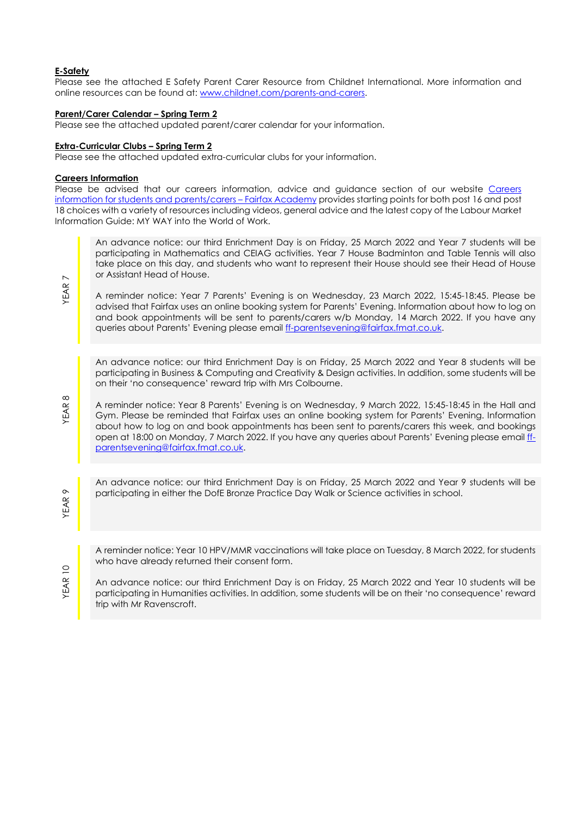# **E-Safety**

Please see the attached E Safety Parent Carer Resource from Childnet International. More information and online resources can be found at: [www.childnet.com/parents-and-carers.](http://www.childnet.com/parents-and-carers)

### **Parent/Carer Calendar – Spring Term 2**

Please see the attached updated parent/carer calendar for your information.

#### **Extra-Curricular Clubs – Spring Term 2**

Please see the attached updated extra-curricular clubs for your information.

#### **Careers Information**

Please be advised that our careers information, advice and guidance section of our website Careers [information for students and parents/carers –](https://www.fairfax.bham.sch.uk/academy-life/careers-programme-information/careers-information-for-students-and-parentscarers/) Fairfax Academy provides starting points for both post 16 and post 18 choices with a variety of resources including videos, general advice and the latest copy of the Labour Market Information Guide: MY WAY into the World of Work.

An advance notice: our third Enrichment Day is on Friday, 25 March 2022 and Year 7 students will be participating in Mathematics and CEIAG activities. Year 7 House Badminton and Table Tennis will also take place on this day, and students who want to represent their House should see their Head of House or Assistant Head of House.

A reminder notice: Year 7 Parents' Evening is on Wednesday, 23 March 2022, 15:45-18:45. Please be advised that Fairfax uses an online booking system for Parents' Evening. Information about how to log on and book appointments will be sent to parents/carers w/b Monday, 14 March 2022. If you have any queries about Parents' Evening please emai[l ff-parentsevening@fairfax.fmat.co.uk.](mailto:ff-parentsevening@fairfax.fmat.co.uk)

An advance notice: our third Enrichment Day is on Friday, 25 March 2022 and Year 8 students will be participating in Business & Computing and Creativity & Design activities. In addition, some students will be on their 'no consequence' reward trip with Mrs Colbourne.

A reminder notice: Year 8 Parents' Evening is on Wednesday, 9 March 2022, 15:45-18:45 in the Hall and Gym. Please be reminded that Fairfax uses an online booking system for Parents' Evening. Information about how to log on and book appointments has been sent to parents/carers this week, and bookings open at 18:00 on Monday, 7 March 2022. If you have any queries about Parents' Evening please email [ff](mailto:ff-parentsevening@fairfax.fmat.co.uk)[parentsevening@fairfax.fmat.co.uk.](mailto:ff-parentsevening@fairfax.fmat.co.uk)

An advance notice: our third Enrichment Day is on Friday, 25 March 2022 and Year 9 students will be participating in either the DofE Bronze Practice Day Walk or Science activities in school.

A reminder notice: Year 10 HPV/MMR vaccinations will take place on Tuesday, 8 March 2022, for students who have already returned their consent form.

An advance notice: our third Enrichment Day is on Friday, 25 March 2022 and Year 10 students will be participating in Humanities activities. In addition, some students will be on their 'no consequence' reward trip with Mr Ravenscroft.

YEAR 7

YEAR 8

YEAR 9

YEAR 1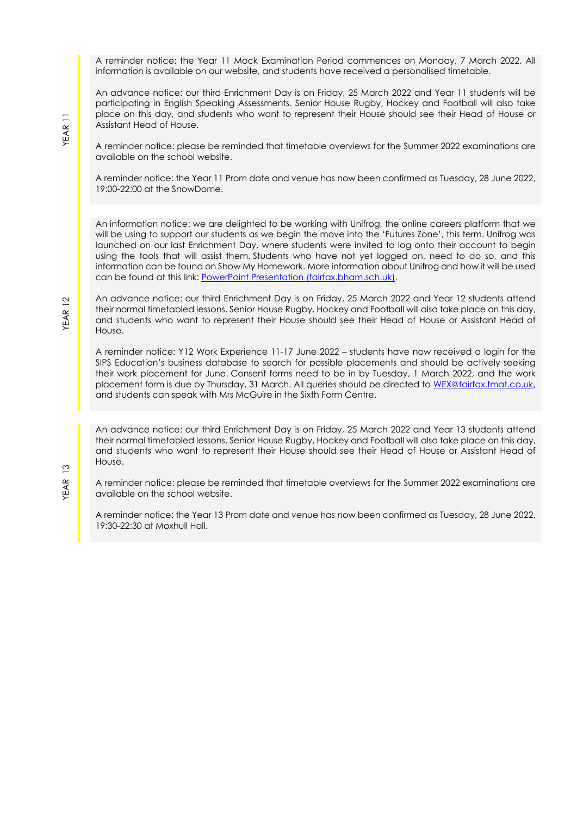A reminder notice: the Year 11 Mock Examination Period commences on Monday, 7 March 2022. All information is available on our website, and students have received a personalised timetable.

An advance notice: our third Enrichment Day is on Friday, 25 March 2022 and Year 11 students will be participating in English Speaking Assessments. Senior House Rugby, Hockey and Football will also take place on this day, and students who want to represent their House should see their Head of House or Assistant Head of House.

A reminder notice: please be reminded that timetable overviews for the Summer 2022 examinations are available on the school website.

A reminder notice: the Year 11 Prom date and venue has now been confirmed as Tuesday, 28 June 2022, 19:00-22:00 at the SnowDome.

An information notice: we are delighted to be working with Unifrog, the online careers platform that we will be using to support our students as we begin the move into the 'Futures Zone', this term. Unifrog was launched on our last Enrichment Day, where students were invited to log onto their account to begin using the tools that will assist them. Students who have not yet logged on, need to do so, and this information can be found on Show My Homework. More information about Unifrog and how it will be used can be found at this link: [PowerPoint Presentation \(fairfax.bham.sch.uk\).](https://www.fairfax.bham.sch.uk/wp-content/uploads/2022/02/Unifrog-KS5-Launch-PDF.pdf)

An advance notice: our third Enrichment Day is on Friday, 25 March 2022 and Year 12 students attend their normal timetabled lessons. Senior House Rugby, Hockey and Football will also take place on this day, and students who want to represent their House should see their Head of House or Assistant Head of House.

A reminder notice: Y12 Work Experience 11-17 June 2022 – students have now received a login for the SIPS Education's business database to search for possible placements and should be actively seeking their work placement for June. Consent forms need to be in by Tuesday, 1 March 2022, and the work placement form is due by Thursday, 31 March. All queries should be directed to WEX@fairfax.fmat.co.uk, and students can speak with Mrs McGuire in the Sixth Form Centre.

An advance notice: our third Enrichment Day is on Friday, 25 March 2022 and Year 13 students attend their normal timetabled lessons. Senior House Rugby, Hockey and Football will also take place on this day, and students who want to represent their House should see their Head of House or Assistant Head of House.

A reminder notice: please be reminded that timetable overviews for the Summer 2022 examinations are available on the school website.

A reminder notice: the Year 13 Prom date and venue has now been confirmed as Tuesday, 28 June 2022, 19:30-22:30 at Moxhull Hall.